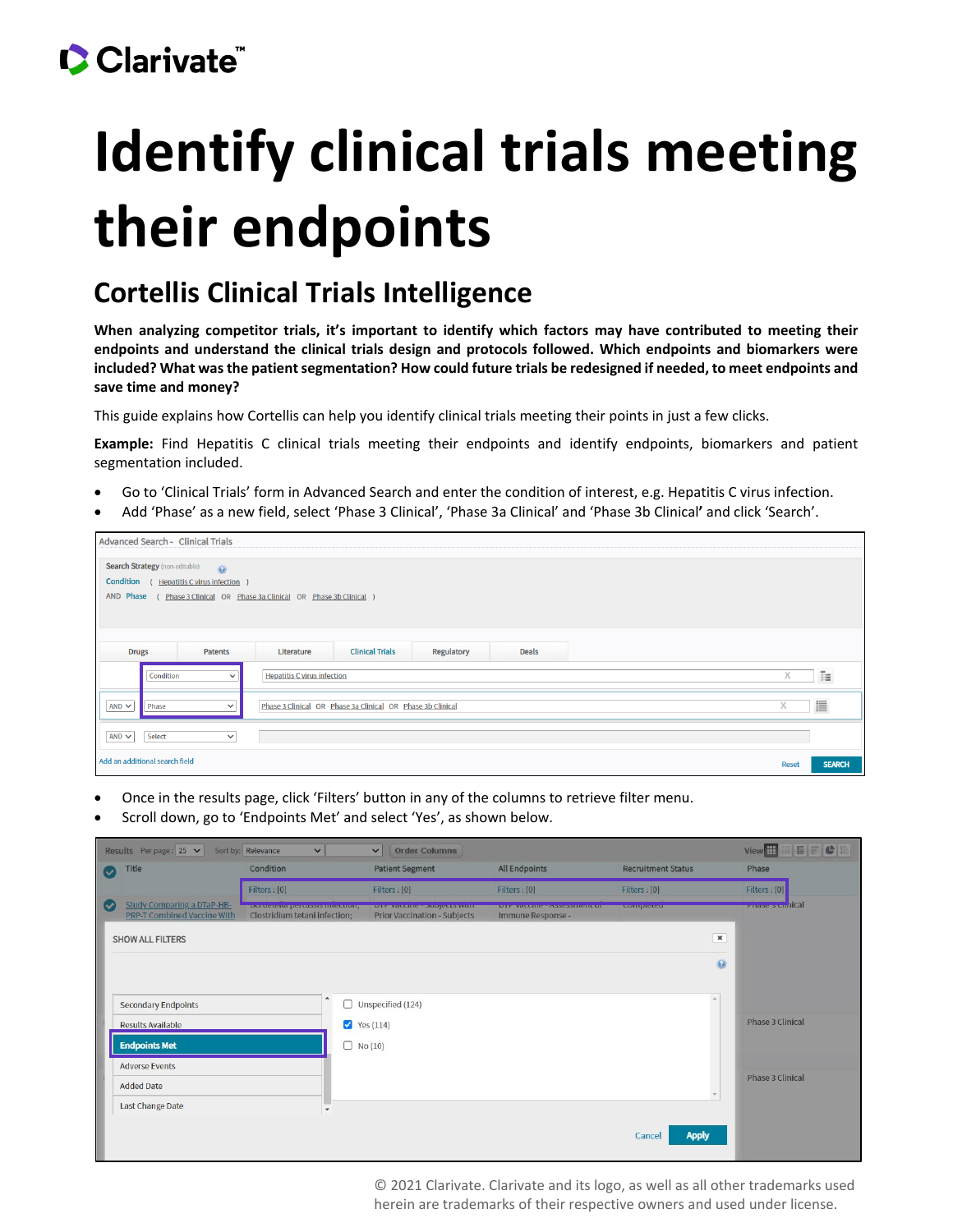## CClarivate

# **Identify clinical trials meeting their endpoints**

#### **Cortellis Clinical Trials Intelligence**

**When analyzing competitor trials, it's important to identify which factors may have contributed to meeting their endpoints and understand the clinical trials design and protocols followed. Which endpoints and biomarkers were included? What was the patient segmentation? How could future trials be redesigned if needed, to meet endpoints and save time and money?**

This guide explains how Cortellis can help you identify clinical trials meeting their points in just a few clicks.

**Example:** Find Hepatitis C clinical trials meeting their endpoints and identify endpoints, biomarkers and patient segmentation included.

- Go to 'Clinical Trials' form in Advanced Search and enter the condition of interest, e.g. Hepatitis C virus infection.
- Add 'Phase' as a new field, select 'Phase 3 Clinical', 'Phase 3a Clinical' and 'Phase 3b Clinical**'** and click 'Search'.

| <b>Advanced Search - Clinical Trials</b>                                                             |              |               |  |  |  |  |  |
|------------------------------------------------------------------------------------------------------|--------------|---------------|--|--|--|--|--|
| <b>Search Strategy (non-editable)</b><br>$\odot$<br>Condition<br>( Hepatitis C virus infection       |              |               |  |  |  |  |  |
| AND Phase ( Phase 3 Clinical OR Phase 3a Clinical OR Phase 3b Clinical )                             |              |               |  |  |  |  |  |
|                                                                                                      |              |               |  |  |  |  |  |
| <b>Patents</b><br><b>Clinical Trials</b><br>Regulatory<br><b>Deals</b><br><b>Drugs</b><br>Literature |              |               |  |  |  |  |  |
| <b>Hepatitis C virus infection</b><br>Condition<br>$\check{~}$                                       | Χ            | 胜             |  |  |  |  |  |
| AND $\sim$<br>Phase 3 Clinical OR Phase 3a Clinical OR Phase 3b Clinical<br>Phase<br>$\checkmark$    | X            | 這             |  |  |  |  |  |
| $AND \sim$<br>Select<br>$\checkmark$                                                                 |              |               |  |  |  |  |  |
| Add an additional search field                                                                       | <b>Reset</b> | <b>SEARCH</b> |  |  |  |  |  |

- Once in the results page, click 'Filters' button in any of the columns to retrieve filter menu.
- Scroll down, go to 'Endpoints Met' and select 'Yes', as shown below.

|                                                   | HFCH<br>View <sup>H</sup><br>Sort by: Relevance<br>Results Perpage: $25 \times$<br><b>Order Columns</b><br>$\checkmark$<br>$\checkmark$ |                                                               |               |                                                                            |                                                         |                           |                |                         |
|---------------------------------------------------|-----------------------------------------------------------------------------------------------------------------------------------------|---------------------------------------------------------------|---------------|----------------------------------------------------------------------------|---------------------------------------------------------|---------------------------|----------------|-------------------------|
| $\vert\!\vert\!\vert\!\vert\!\vert\!\vert\!\vert$ | Title                                                                                                                                   | Condition                                                     |               | <b>Patient Segment</b>                                                     | <b>All Endpoints</b>                                    | <b>Recruitment Status</b> |                | Phase                   |
|                                                   |                                                                                                                                         | Filters : [0]                                                 |               | Filters: [0]                                                               | Filters : [0]                                           | Filters : [0]             |                | Filters: [0]            |
| $\bullet$                                         | <b>Study Comparing a DTaP-HB-</b><br><b>PRP-T Combined Vaccine With</b>                                                                 | porqetena pertussis imecuon;<br>Clostridium tetani infection; |               | <b>Diffivaccine - Subjects with</b><br><b>Prior Vaccination - Subjects</b> | <b>DIT VOLUME - ASSESSINENT OF</b><br>Immune Response - | completed                 |                | <b>Triase 3 Cimical</b> |
|                                                   | <b>SHOW ALL FILTERS</b>                                                                                                                 |                                                               |               |                                                                            |                                                         |                           | $\pmb{\times}$ |                         |
|                                                   |                                                                                                                                         |                                                               |               |                                                                            |                                                         |                           | $\odot$        |                         |
|                                                   |                                                                                                                                         |                                                               |               |                                                                            |                                                         |                           | A              |                         |
|                                                   | <b>Secondary Endpoints</b>                                                                                                              |                                                               |               | Unspecified (124)                                                          |                                                         |                           |                |                         |
|                                                   | Results Available                                                                                                                       |                                                               | $Y$ Yes (114) |                                                                            |                                                         |                           |                | Phase 3 Clinical        |
|                                                   | <b>Endpoints Met</b>                                                                                                                    |                                                               |               | No(10)                                                                     |                                                         |                           |                |                         |
|                                                   | <b>Adverse Events</b>                                                                                                                   |                                                               |               |                                                                            |                                                         |                           |                |                         |
|                                                   | <b>Added Date</b>                                                                                                                       |                                                               |               |                                                                            |                                                         |                           |                | <b>Phase 3 Clinical</b> |
|                                                   | Last Change Date                                                                                                                        | ٠                                                             |               |                                                                            |                                                         |                           |                |                         |
|                                                   |                                                                                                                                         |                                                               |               |                                                                            |                                                         | <b>Apply</b><br>Cancel    |                |                         |

© 2021 Clarivate. Clarivate and its logo, as well as all other trademarks used herein are trademarks of their respective owners and used under license.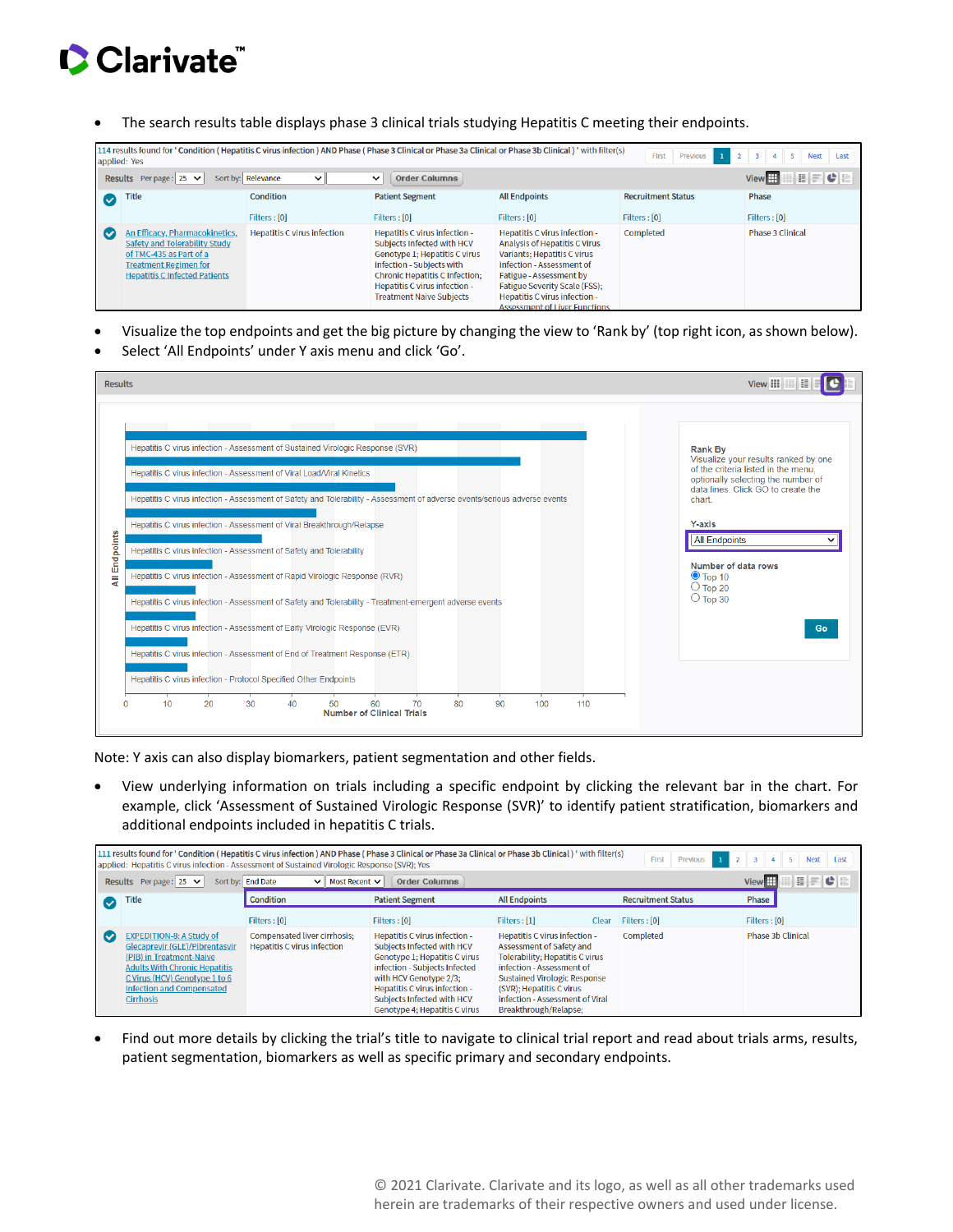## Clarivate

• The search results table displays phase 3 clinical trials studying Hepatitis C meeting their endpoints.

|              | 114 results found for ' Condition (Hepatitis C virus infection) AND Phase (Phase 3 Clinical or Phase 3a Clinical or Phase 3b Clinical) ' with filter(s)<br>First<br><b>Previous</b><br>$\mathbf{I}$<br>$\mathbf{3}$<br><b>Next</b><br>$\mathcal{D}$<br>$\overline{a}$<br>Last<br>applied: Yes |                                    |                                                                                                                                                                                                                                        |                                                                                                                                                                                                                                                                        |                           |                         |
|--------------|-----------------------------------------------------------------------------------------------------------------------------------------------------------------------------------------------------------------------------------------------------------------------------------------------|------------------------------------|----------------------------------------------------------------------------------------------------------------------------------------------------------------------------------------------------------------------------------------|------------------------------------------------------------------------------------------------------------------------------------------------------------------------------------------------------------------------------------------------------------------------|---------------------------|-------------------------|
|              | c<br>View <sup>H</sup><br>Sort by: Relevance<br>Results Perpage: $25 \times$<br><b>Order Columns</b><br>$\checkmark$<br>$\check{ }$                                                                                                                                                           |                                    |                                                                                                                                                                                                                                        |                                                                                                                                                                                                                                                                        |                           |                         |
| $\checkmark$ | Title                                                                                                                                                                                                                                                                                         | Condition                          | <b>Patient Segment</b>                                                                                                                                                                                                                 | <b>All Endpoints</b>                                                                                                                                                                                                                                                   | <b>Recruitment Status</b> | Phase                   |
|              |                                                                                                                                                                                                                                                                                               | Filters : [0]                      | Filters : [0]                                                                                                                                                                                                                          | Filters : [0]                                                                                                                                                                                                                                                          | Filters : [0]             | Filters : [0]           |
| (V           | An Efficacy, Pharmacokinetics,<br>Safety and Tolerability Study<br>of TMC-435 as Part of a<br><b>Treatment Regimen for</b><br><b>Hepatitis C Infected Patients</b>                                                                                                                            | <b>Hepatitis C virus infection</b> | Hepatitis C virus infection -<br>Subjects Infected with HCV<br>Genotype 1; Hepatitis C virus<br>infection - Subjects with<br><b>Chronic Hepatitis C Infection:</b><br>Hepatitis C virus infection -<br><b>Treatment Naive Subjects</b> | Hepatitis C virus infection -<br>Analysis of Hepatitis C Virus<br>Variants: Hepatitis C virus<br>infection - Assessment of<br>Fatigue - Assessment by<br><b>Fatigue Severity Scale (FSS):</b><br>Hepatitis C virus infection -<br><b>Assessment of Liver Functions</b> | Completed                 | <b>Phase 3 Clinical</b> |

- Visualize the top endpoints and get the big picture by changing the view to 'Rank by' (top right icon, as shown below).
- Select 'All Endpoints' under Y axis menu and click 'Go'.



Note: Y axis can also display biomarkers, patient segmentation and other fields.

• View underlying information on trials including a specific endpoint by clicking the relevant bar in the chart. For example, click 'Assessment of Sustained Virologic Response (SVR)' to identify patient stratification, biomarkers and additional endpoints included in hepatitis C trials.

|                                                                                                                              | 111 results found for ' Condition (Hepatitis C virus infection) AND Phase (Phase 3 Clinical or Phase 3a Clinical or Phase 3b Clinical) ' with filter(s)<br>$1 \t2 \t3$<br>Previous<br>$\mathbf{A}$<br>$5-1$<br><b>Next</b><br>First<br>Last<br>applied: Hepatitis C virus infection - Assessment of Sustained Virologic Response (SVR); Yes |                                                                    |                                                                                                                                                                                                                                                         |                                                                                                                                                                                                                                                                 |                           |                   |
|------------------------------------------------------------------------------------------------------------------------------|---------------------------------------------------------------------------------------------------------------------------------------------------------------------------------------------------------------------------------------------------------------------------------------------------------------------------------------------|--------------------------------------------------------------------|---------------------------------------------------------------------------------------------------------------------------------------------------------------------------------------------------------------------------------------------------------|-----------------------------------------------------------------------------------------------------------------------------------------------------------------------------------------------------------------------------------------------------------------|---------------------------|-------------------|
| <b>View</b><br>Sort by: End Date<br><b>Order Columns</b><br>Results Perpage: 25 $\vee$<br>Most Recent $\vee$<br>$\checkmark$ |                                                                                                                                                                                                                                                                                                                                             |                                                                    |                                                                                                                                                                                                                                                         |                                                                                                                                                                                                                                                                 | HFCB                      |                   |
| $\checkmark$                                                                                                                 | <b>Title</b>                                                                                                                                                                                                                                                                                                                                | Condition                                                          | <b>Patient Segment</b>                                                                                                                                                                                                                                  | <b>All Endpoints</b>                                                                                                                                                                                                                                            | <b>Recruitment Status</b> | Phase             |
|                                                                                                                              |                                                                                                                                                                                                                                                                                                                                             | Filters: [0]                                                       | Filters: [0]                                                                                                                                                                                                                                            | Filters : [1]<br>Clear                                                                                                                                                                                                                                          | Filters : [0]             | Filters: [0]      |
| (V                                                                                                                           | <b>EXPEDITION-8: A Study of</b><br>Glecaprevir (GLE)/Pibrentasvir<br>(PIB) in Treatment-Naive<br><b>Adults With Chronic Hepatitis</b><br>C Virus (HCV) Genotype 1 to 6<br><b>Infection and Compensated</b><br><b>Cirrhosis</b>                                                                                                              | Compensated liver cirrhosis:<br><b>Hepatitis C virus infection</b> | Hepatitis C virus infection -<br>Subjects Infected with HCV<br>Genotype 1; Hepatitis C virus<br>infection - Subjects Infected<br>with HCV Genotype 2/3;<br>Hepatitis C virus infection -<br>Subjects Infected with HCV<br>Genotype 4; Hepatitis C virus | Hepatitis C virus infection -<br>Assessment of Safety and<br><b>Tolerability: Hepatitis C virus</b><br>infection - Assessment of<br><b>Sustained Virologic Response</b><br>(SVR): Hepatitis C virus<br>infection - Assessment of Viral<br>Breakthrough/Relapse; | Completed                 | Phase 3b Clinical |

• Find out more details by clicking the trial's title to navigate to clinical trial report and read about trials arms, results, patient segmentation, biomarkers as well as specific primary and secondary endpoints.